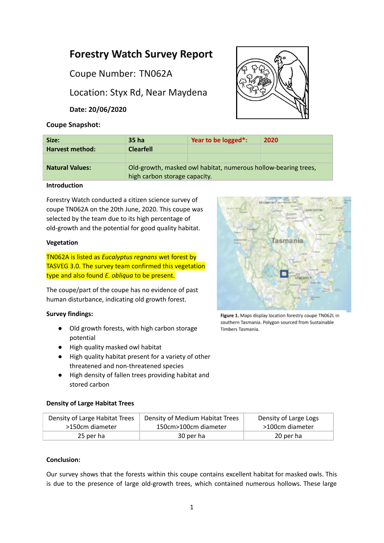# **Forestry Watch Survey Report**

Coupe Number: TN062A

Location: Styx Rd, Near Maydena

**Date: 20/06/2020**

# **Coupe Snapshot:**



| Size:                  | 35 ha                                                                                           | Year to be logged*: | 2020 |
|------------------------|-------------------------------------------------------------------------------------------------|---------------------|------|
| <b>Harvest method:</b> | <b>Clearfell</b>                                                                                |                     |      |
|                        |                                                                                                 |                     |      |
| <b>Natural Values:</b> | Old-growth, masked owl habitat, numerous hollow-bearing trees,<br>high carbon storage capacity. |                     |      |

# **Introduction**

Forestry Watch conducted a citizen science survey of coupe TN062A on the 20th June, 2020. This coupe was selected by the team due to its high percentage of old-growth and the potential for good quality habitat.

#### **Vegetation**

TN062A is listed as *Eucalyptus regnans* wet forest by TASVEG 3.0. The survey team confirmed this vegetation type and also found *E. obliqua* to be present.

The coupe/part of the coupe has no evidence of past human disturbance, indicating old growth forest.

# **Survey findings:**

- Old growth forests, with high carbon storage potential
- High quality masked owl habitat
- High quality habitat present for a variety of other threatened and non-threatened species
- High density of fallen trees providing habitat and stored carbon

# Tasmania

Figure 1. Maps display location forestry coupe TN062L in southern Tasmania. Polygon sourced from Sustainable Timbers Tasmania.

# **Density of Large Habitat Trees**

| Density of Large Habitat Trees | Density of Medium Habitat Trees | Density of Large Logs |
|--------------------------------|---------------------------------|-----------------------|
| >150cm diameter                | 150cm>100cm diameter            | >100cm diameter       |
| 25 per ha                      | 30 per ha                       | 20 per ha             |

#### **Conclusion:**

Our survey shows that the forests within this coupe contains excellent habitat for masked owls. This is due to the presence of large old-growth trees, which contained numerous hollows. These large